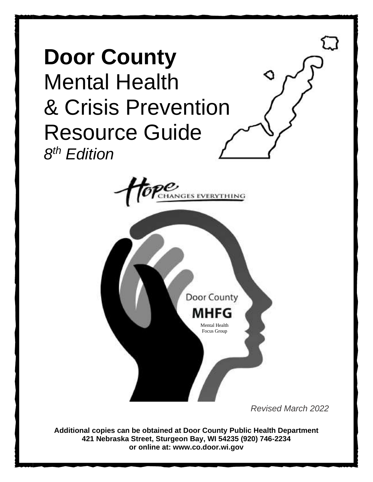



*Revised March 2022*

**Additional copies can be obtained at Door County Public Health Department 421 Nebraska Street, Sturgeon Bay, WI 54235 (920) 746-2234 or online at: www.co.door.wi.gov**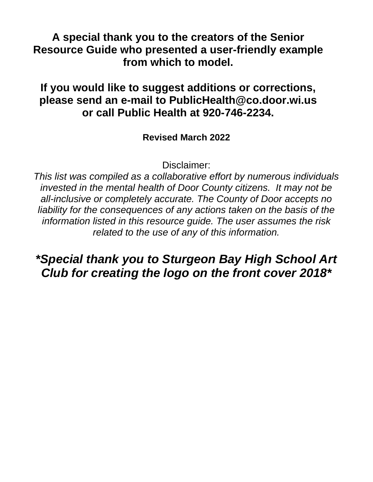**A special thank you to the creators of the Senior Resource Guide who presented a user-friendly example from which to model.**

## **If you would like to suggest additions or corrections, please send an e-mail to PublicHealth@co.door.wi.us or call Public Health at 920-746-2234.**

### **Revised March 2022**

Disclaimer:

*This list was compiled as a collaborative effort by numerous individuals invested in the mental health of Door County citizens. It may not be all-inclusive or completely accurate. The County of Door accepts no liability for the consequences of any actions taken on the basis of the information listed in this resource guide. The user assumes the risk related to the use of any of this information.*

## *\*Special thank you to Sturgeon Bay High School Art Club for creating the logo on the front cover 2018\**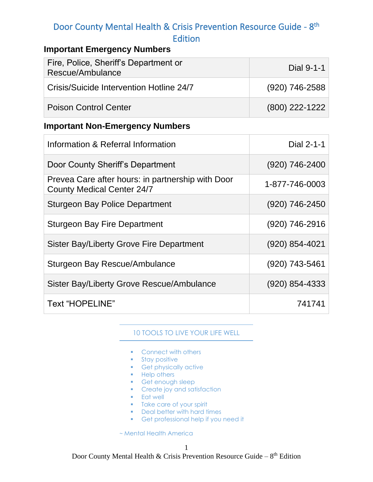### **Important Emergency Numbers**

| Fire, Police, Sheriff's Department or<br>Rescue/Ambulance | Dial 9-1-1       |
|-----------------------------------------------------------|------------------|
| Crisis/Suicide Intervention Hotline 24/7                  | (920) 746-2588   |
| <b>Poison Control Center</b>                              | $(800)$ 222-1222 |

### **Important Non-Emergency Numbers**

| Information & Referral Information                                                     | Dial 2-1-1       |
|----------------------------------------------------------------------------------------|------------------|
| Door County Sheriff's Department                                                       | (920) 746-2400   |
| Prevea Care after hours: in partnership with Door<br><b>County Medical Center 24/7</b> | 1-877-746-0003   |
| <b>Sturgeon Bay Police Department</b>                                                  | (920) 746-2450   |
| <b>Sturgeon Bay Fire Department</b>                                                    | (920) 746-2916   |
| <b>Sister Bay/Liberty Grove Fire Department</b>                                        | (920) 854-4021   |
| Sturgeon Bay Rescue/Ambulance                                                          | (920) 743-5461   |
| Sister Bay/Liberty Grove Rescue/Ambulance                                              | $(920)$ 854-4333 |
| <b>Text "HOPELINE"</b>                                                                 | 741741           |

### 10 TOOLS TO LIVE YOUR LIFE WELL

- Connect with others
- **■** Stay positive
- **•** Get physically active
- Help others
- Get enough sleep
- **•** Create joy and satisfaction
- Eat well
- **•** Take care of your spirit
- Deal better with hard times
- Get professional help if you need it

~ Mental Health America

Door County Mental Health & Crisis Prevention Resource Guide –  $8<sup>th</sup>$  Edition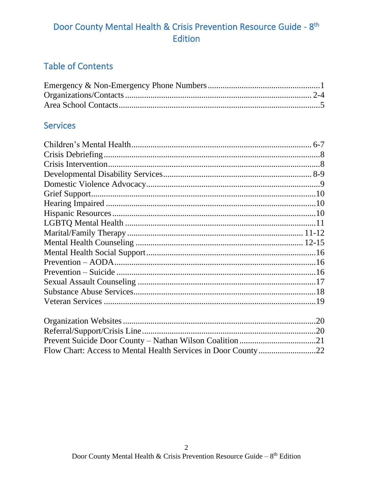## **Table of Contents**

### **Services**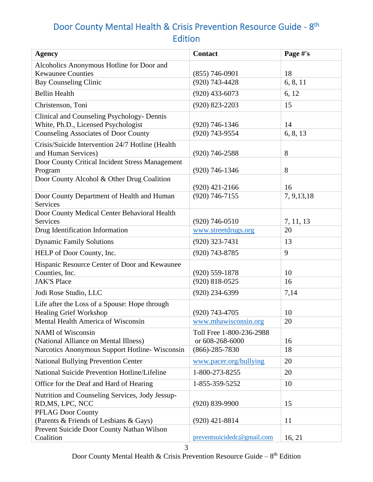| <b>Agency</b>                                                                     | <b>Contact</b>                              | Page #'s     |
|-----------------------------------------------------------------------------------|---------------------------------------------|--------------|
| Alcoholics Anonymous Hotline for Door and                                         |                                             |              |
| <b>Kewaunee Counties</b>                                                          | $(855)$ 746-0901                            | 18           |
| <b>Bay Counseling Clinic</b>                                                      | $(920)$ 743-4428                            | 6, 8, 11     |
| <b>Bellin Health</b>                                                              | $(920)$ 433-6073                            | 6, 12        |
| Christenson, Toni                                                                 | $(920)$ 823-2203                            | 15           |
| Clinical and Counseling Psychology- Dennis<br>White, Ph.D., Licensed Psychologist | $(920)$ 746-1346                            | 14           |
| <b>Counseling Associates of Door County</b>                                       | (920) 743-9554                              | 6, 8, 13     |
| Crisis/Suicide Intervention 24/7 Hotline (Health<br>and Human Services)           | $(920)$ 746-2588                            | 8            |
| Door County Critical Incident Stress Management<br>Program                        | $(920)$ 746-1346                            | 8            |
| Door County Alcohol & Other Drug Coalition                                        | $(920)$ 421-2166                            | 16           |
| Door County Department of Health and Human<br><b>Services</b>                     | $(920)$ 746-7155                            | 7, 9, 13, 18 |
| Door County Medical Center Behavioral Health<br>Services                          | $(920)$ 746-0510                            | 7, 11, 13    |
| Drug Identification Information                                                   | www.streetdrugs.org                         | 20           |
| <b>Dynamic Family Solutions</b>                                                   | $(920)$ 323-7431                            | 13           |
| HELP of Door County, Inc.                                                         | $(920)$ 743-8785                            | 9            |
| Hispanic Resource Center of Door and Kewaunee<br>Counties, Inc.                   | $(920) 559 - 1878$                          | 10           |
| <b>JAK'S Place</b>                                                                | $(920)$ 818-0525                            | 16           |
|                                                                                   | $(920)$ 234-6399                            |              |
| Jodi Rose Studio, LLC                                                             |                                             | 7,14         |
| Life after the Loss of a Spouse: Hope through<br><b>Healing Grief Workshop</b>    | $(920)$ 743-4705                            | 10           |
| Mental Health America of Wisconsin                                                | www.mhawisconsin.org                        | 20           |
| <b>NAMI</b> of Wisconsin<br>(National Alliance on Mental Illness)                 | Toll Free 1-800-236-2988<br>or 608-268-6000 | 16           |
| Narcotics Anonymous Support Hotline-Wisconsin                                     | $(866) - 285 - 7830$                        | 18           |
| <b>National Bullying Prevention Center</b>                                        | www.pacer.org/bullying                      | 20           |
| National Suicide Prevention Hotline/Lifeline                                      | 1-800-273-8255                              | 20           |
| Office for the Deaf and Hard of Hearing                                           | 1-855-359-5252                              | 10           |
| Nutrition and Counseling Services, Jody Jessup-<br>RD, MS, LPC, NCC               | $(920) 839 - 9900$                          | 15           |
| <b>PFLAG Door County</b><br>(Parents & Friends of Lesbians & Gays)                | $(920)$ 421-8814                            | 11           |
| Prevent Suicide Door County Nathan Wilson<br>Coalition                            | preventsuicidedc@gmail.com                  | 16, 21       |

Door County Mental Health & Crisis Prevention Resource Guide –  $8<sup>th</sup>$  Edition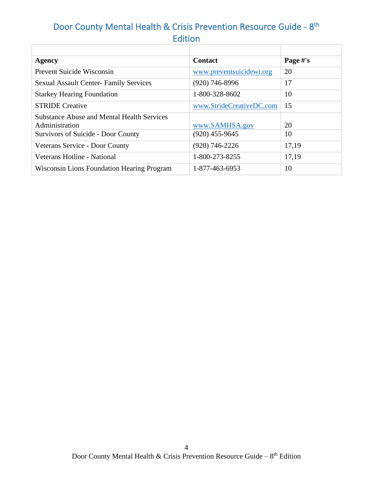| Agency                                            | <b>Contact</b>           | Page #'s |
|---------------------------------------------------|--------------------------|----------|
| Prevent Suicide Wisconsin                         | www.preventsuicidewi.org | 20       |
| <b>Sexual Assault Center- Family Services</b>     | $(920)$ 746-8996         | 17       |
| <b>Starkey Hearing Foundation</b>                 | 1-800-328-8602           | 10       |
| <b>STRIDE Creative</b>                            | www.StrideCreativeDC.com | 15       |
| <b>Substance Abuse and Mental Health Services</b> |                          |          |
| Administration                                    | www.SAMHSA.gov           | 20       |
| Survivors of Suicide - Door County                | $(920)$ 455-9645         | 10       |
| Veterans Service - Door County                    | $(920)$ 746-2226         | 17,19    |
| Veterans Hotline - National                       | 1-800-273-8255           | 17,19    |
| <b>Wisconsin Lions Foundation Hearing Program</b> | 1-877-463-6953           | 10       |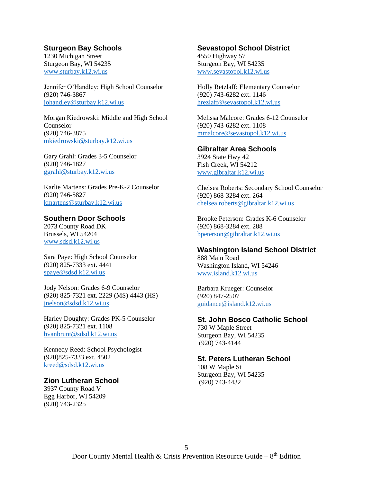#### **Sturgeon Bay Schools**

1230 Michigan Street Sturgeon Bay, WI 54235 [www.sturbay.k12.wi.us](http://www.sturbay.k12.wi.us/)

Jennifer O'Handley: High School Counselor (920) 746-3867 [johandley@sturbay.k12.wi.us](mailto:johandley@sturbay.k12.wi.us)

Morgan Kiedrowski: Middle and High School Counselor (920) 746-3875 [mkiedrowski@sturbay.k12.wi.us](mailto:mkiedrowski@sturbay.k12.wi.us)

Gary Grahl: Grades 3-5 Counselor (920) 746-1827 [ggrahl@sturbay.k12.wi.us](mailto:ggrahl@sturbay.k12.wi.us)

Karlie Martens: Grades Pre-K-2 Counselor (920) 746-5827 [kmartens@sturbay.k12.wi.us](mailto:kmartens@sturbay.k12.wi.us)

#### **Southern Door Schools**

2073 County Road DK Brussels, WI 54204 [www.sdsd.k12.wi.us](http://www.sdsd.k12.wi.us/)

Sara Paye: High School Counselor (920) 825-7333 ext. 4441 [spaye@s](mailto:spaye@southerndoor.k12.wi.us)dsd.k12.wi.us

Jody Nelson: Grades 6-9 Counselor (920) 825-7321 ext. 2229 (MS) 4443 (HS) [jnelson@sdsd.k12.wi.us](mailto:jnelson@sdsd.k12.wi.us)

Harley Doughty: Grades PK-5 Counselor (920) 825-7321 ext. 1108 [hvanbrunt@sdsd.k12.wi.us](mailto:hvanbrunt@sdsd.k12.wi.us)

Kennedy Reed: School Psychologist (920)825-7333 ext. 4502 [kreed@sdsd.k12.wi.us](mailto:kreed@sdsd.k12.wi.us)

#### **Zion Lutheran School**

3937 County Road V Egg Harbor, WI 54209 (920) 743-2325

#### **Sevastopol School District**

4550 Highway 57 Sturgeon Bay, WI 54235 [www.sevastopol.k12.wi.us](http://www.sevastopol.k12.wi.us/)

Holly Retzlaff: Elementary Counselor (920) 743-6282 ext. 1146 [hrezlaff@sevastopol.k12.wi.us](mailto:hrezlaff@sevastopol.k12.wi.us)

Melissa Malcore: Grades 6-12 Counselor (920) 743-6282 ext. 1108 [mmalcore@sevastopol.k12.wi.us](mailto:mmalcore@sevastopol.k12.wi.us)

#### **Gibraltar Area Schools**

3924 State Hwy 42 Fish Creek, WI 54212 [www.gibraltar.k12.wi.us](http://www.gibraltar.k12.wi.us/)

Chelsea Roberts: Secondary School Counselor (920) 868-3284 ext. 264 [chelsea.roberts@gibraltar.k12.wi.us](mailto:chelsea.roberts@gibraltar.k12.wi.us)

Brooke Peterson: Grades K-6 Counselor (920) 868-3284 ext. 288 [bpeterson@gibraltar.k12.wi.us](mailto:bpeterson@gibraltar.k12.wi.us)

#### **Washington Island School District**

888 Main Road Washington Island, WI 54246 [www.island.k12.wi.us](http://www.island.k12.wi.us/)

Barbara Krueger: Counselor (920) 847-2507 [guidance@island.k12.wi.us](mailto:guidance@island.k12.wi.us)

#### **St. John Bosco Catholic School**

730 W Maple Street Sturgeon Bay, WI 54235 (920) 743-4144

#### **St. Peters Lutheran School**

108 W Maple St Sturgeon Bay, WI 54235 (920) 743-4432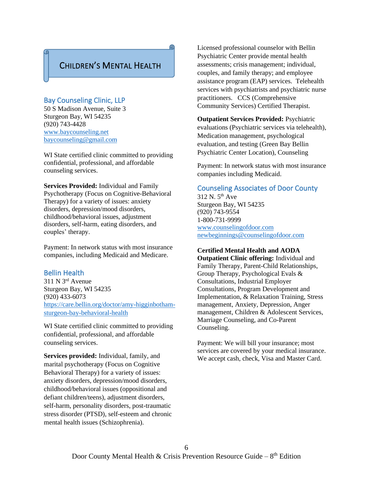### CHILDREN'S MENTAL HEALTH

G

#### Bay Counseling Clinic, LLP

50 S Madison Avenue, Suite 3 Sturgeon Bay, WI 54235 (920) 743-4428 [www.baycounseling.net](http://www.baycounseling.net/) [baycounseling@gmail.com](mailto:baycounseling@gmail.com)

WI State certified clinic committed to providing confidential, professional, and affordable counseling services.

**Services Provided:** Individual and Family Psychotherapy (Focus on Cognitive-Behavioral Therapy) for a variety of issues: anxiety disorders, depression/mood disorders, childhood/behavioral issues, adjustment disorders, self-harm, eating disorders, and couples' therapy.

Payment: In network status with most insurance companies, including Medicaid and Medicare.

#### Bellin Health

311 N 3rd Avenue Sturgeon Bay, WI 54235 (920) 433-6073 [https://care.bellin.org/doctor/amy-higginbotham](https://care.bellin.org/doctor/amy-higginbotham-sturgeon-bay-behavioral-health)[sturgeon-bay-behavioral-health](https://care.bellin.org/doctor/amy-higginbotham-sturgeon-bay-behavioral-health)

WI State certified clinic committed to providing confidential, professional, and affordable counseling services.

**Services provided:** Individual, family, and marital psychotherapy (Focus on Cognitive Behavioral Therapy) for a variety of issues: anxiety disorders, depression/mood disorders, childhood/behavioral issues (oppositional and defiant children/teens), adjustment disorders, self-harm, personality disorders, post-traumatic stress disorder (PTSD), self-esteem and chronic mental health issues (Schizophrenia).

Licensed professional counselor with Bellin Psychiatric Center provide mental health assessments; crisis management; individual, couples, and family therapy; and employee assistance program (EAP) services. Telehealth services with psychiatrists and psychiatric nurse practitioners. CCS (Comprehensive Community Services) Certified Therapist.

**Outpatient Services Provided:** Psychiatric evaluations (Psychiatric services via telehealth), Medication management, psychological evaluation, and testing (Green Bay Bellin Psychiatric Center Location), Counseling

Payment: In network status with most insurance companies including Medicaid.

#### Counseling Associates of Door County

 $312$  N.  $5<sup>th</sup>$  Ave Sturgeon Bay, WI 54235 (920) 743-9554 1-800-731-9999 [www.counselingofdoor.com](http://www.counselingofdoor.com/) [newbeginnings@counselingofdoor.com](mailto:newbeginnings@counselingofdoor.com)

#### **Certified Mental Health and AODA**

**Outpatient Clinic offering:** Individual and Family Therapy, Parent-Child Relationships, Group Therapy, Psychological Evals & Consultations, Industrial Employer Consultations, Program Development and Implementation, & Relaxation Training, Stress management, Anxiety, Depression, Anger management, Children & Adolescent Services, Marriage Counseling, and Co-Parent Counseling.

Payment: We will bill your insurance; most services are covered by your medical insurance. We accept cash, check, Visa and Master Card.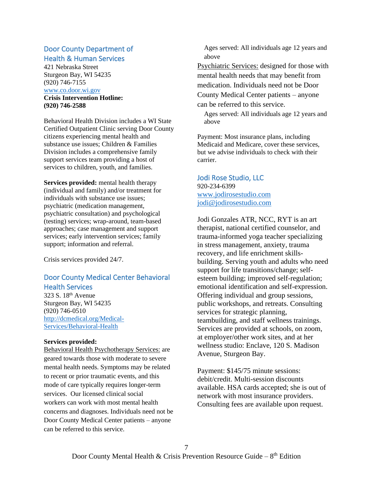#### Door County Department of Health & Human Services

421 Nebraska Street Sturgeon Bay, WI 54235 (920) 746-7155 [www.co.door.wi.gov](http://www.co.door.wi.gov/) **Crisis Intervention Hotline:**

**(920) 746-2588**

Behavioral Health Division includes a WI State Certified Outpatient Clinic serving Door County citizens experiencing mental health and substance use issues; Children & Families Division includes a comprehensive family support services team providing a host of services to children, youth, and families.

**Services provided:** mental health therapy (individual and family) and/or treatment for individuals with substance use issues; psychiatric (medication management, psychiatric consultation) and psychological (testing) services; wrap-around, team-based approaches; case management and support services; early intervention services; family support; information and referral.

Crisis services provided 24/7.

#### Door County Medical Center Behavioral Health Services

323 S. 18th Avenue Sturgeon Bay, WI 54235 (920) 746-0510 [http://dcmedical.org/Medical-](http://dcmedical.org/Medical-Services/Behavioral-Health)[Services/Behavioral-Health](http://dcmedical.org/Medical-Services/Behavioral-Health)

#### **Services provided:**

Behavioral Health Psychotherapy Services: are geared towards those with moderate to severe mental health needs. Symptoms may be related to recent or prior traumatic events, and this mode of care typically requires longer-term services. Our licensed clinical social workers can work with most mental health concerns and diagnoses. Individuals need not be Door County Medical Center patients – anyone can be referred to this service.

 Ages served: All individuals age 12 years and above

Psychiatric Services: designed for those with mental health needs that may benefit from medication. Individuals need not be Door County Medical Center patients – anyone can be referred to this service.

 Ages served: All individuals age 12 years and above

Payment: Most insurance plans, including Medicaid and Medicare, cover these services, but we advise individuals to check with their carrier.

Jodi Rose Studio, LLC 920-234-6399 [www.jodirosestudio.com](http://www.jodirosestudio.com/) [jodi@jodirosestudio.com](mailto:jodi@jodirosestudio.com)

Jodi Gonzales ATR, NCC, RYT is an art therapist, national certified counselor, and trauma-informed yoga teacher specializing in stress management, anxiety, trauma recovery, and life enrichment skillsbuilding. Serving youth and adults who need support for life transitions/change; selfesteem building; improved self-regulation; emotional identification and self-expression. Offering individual and group sessions, public workshops, and retreats. Consulting services for strategic planning, teambuilding, and staff wellness trainings. Services are provided at schools, on zoom, at employer/other work sites, and at her wellness studio: Enclave, 120 S. Madison Avenue, Sturgeon Bay.

Payment: \$145/75 minute sessions: debit/credit. Multi-session discounts available. HSA cards accepted; she is out of network with most insurance providers. Consulting fees are available upon request.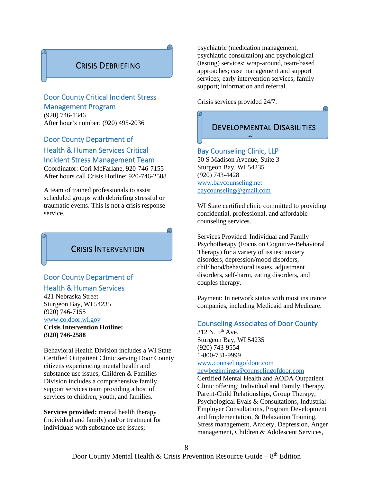### CRISIS DEBRIEFING

#### Door County Critical Incident Stress Management Program

(920) 746-1346 After hour's number: (920) 495-2036

#### Door County Department of

### Health & Human Services Critical Incident Stress Management Team

Coordinator: Cori McFarlane, 920-746-7155 After hours call Crisis Hotline: 920-746-2588

A team of trained professionals to assist scheduled groups with debriefing stressful or traumatic events. This is not a crisis response service.

### CRISIS INTERVENTION

### Door County Department of Health & Human Services

421 Nebraska Street Sturgeon Bay, WI 54235 (920) 746-7155 [www.co.door.wi.gov](http://www.co.door.wi.gov/)

**Crisis Intervention Hotline: (920) 746-2588**

Behavioral Health Division includes a WI State Certified Outpatient Clinic serving Door County citizens experiencing mental health and substance use issues; Children & Families Division includes a comprehensive family support services team providing a host of services to children, youth, and families.

**Services provided:** mental health therapy (individual and family) and/or treatment for individuals with substance use issues;

psychiatric (medication management, psychiatric consultation) and psychological (testing) services; wrap-around, team-based approaches; case management and support services; early intervention services; family support; information and referral.

Crisis services provided 24/7.

## DEVELOPMENTAL DISABILITIES

 $\overline{\phantom{0}}$ 

#### Bay Counseling Clinic, LLP

50 S Madison Avenue, Suite 3 Sturgeon Bay, WI 54235 (920) 743-4428 [www.baycounseling.net](http://www.baycounseling.net/) [baycounseling@gmail.com](mailto:baycounseling@gmail.com)

WI State certified clinic committed to providing confidential, professional, and affordable counseling services.

Services Provided: Individual and Family Psychotherapy (Focus on Cognitive-Behavioral Therapy) for a variety of issues: anxiety disorders, depression/mood disorders, childhood/behavioral issues, adjustment disorders, self-harm, eating disorders, and couples therapy.

Payment: In network status with most insurance companies, including Medicaid and Medicare.

#### Counseling Associates of Door County

 $312$  N.  $5^{th}$  Ave. Sturgeon Bay, WI 54235 (920) 743-9554 1-800-731-9999 [www.counselingofdoor.com](http://www.counselingofdoor.com/)

[newbeginnings@counselingofdoor.com](mailto:newbeginnings@counselingofdoor.com)

Certified Mental Health and AODA Outpatient Clinic offering: Individual and Family Therapy, Parent-Child Relationships, Group Therapy, Psychological Evals & Consultations, Industrial Employer Consultations, Program Development and Implementation, & Relaxation Training, Stress management, Anxiety, Depression, Anger management, Children & Adolescent Services,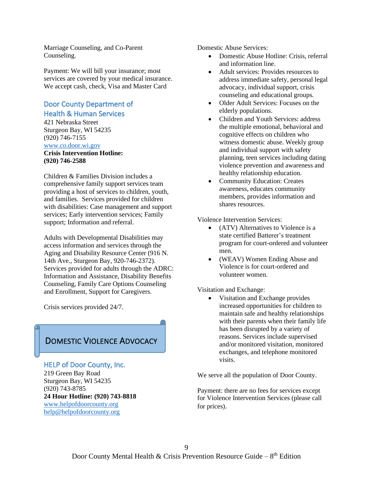Marriage Counseling, and Co-Parent Counseling.

Payment: We will bill your insurance; most services are covered by your medical insurance. We accept cash, check, Visa and Master Card

#### Door County Department of Health & Human Services

421 Nebraska Street Sturgeon Bay, WI 54235 (920) 746-7155 [www.co.door.wi.gov](http://www.co.door.wi.gov/)

**Crisis Intervention Hotline: (920) 746-2588**

Children & Families Division includes a comprehensive family support services team providing a host of services to children, youth, and families. Services provided for children with disabilities: Case management and support services; Early intervention services; Family support; Information and referral.

Adults with Developmental Disabilities may access information and services through the Aging and Disability Resource Center (916 N. 14th Ave., Sturgeon Bay, 920-746-2372). Services provided for adults through the ADRC: Information and Assistance, Disability Benefits Counseling, Family Care Options Counseling and Enrollment, Support for Caregivers.

Crisis services provided 24/7.

### DOMESTIC VIOLENCE ADVOCACY

## HELP of Door County, Inc.

219 Green Bay Road Sturgeon Bay, WI 54235 (920) 743-8785 **24 Hour Hotline: (920) 743-8818** [www.helpofdoorcounty.org](http://www.helpofdoorcounty.org/) [help@helpofdoorcounty.org](mailto:help@helpofdoorcounty.org)

Domestic Abuse Services:

- Domestic Abuse Hotline: Crisis, referral and information line.
- Adult services: Provides resources to address immediate safety, personal legal advocacy, individual support, crisis counseling and educational groups.
- Older Adult Services: Focuses on the elderly populations.
- Children and Youth Services: address the multiple emotional, behavioral and cognitive effects on children who witness domestic abuse. Weekly group and individual support with safety planning, teen services including dating violence prevention and awareness and healthy relationship education.
- Community Education: Creates awareness, educates community members, provides information and shares resources.

Violence Intervention Services:

- (ATV) Alternatives to Violence is a state certified Batterer's treatment program for court-ordered and volunteer men.
- (WEAV) Women Ending Abuse and Violence is for court-ordered and volunteer women.

Visitation and Exchange:

Visitation and Exchange provides increased opportunities for children to maintain safe and healthy relationships with their parents when their family life has been disrupted by a variety of reasons. Services include supervised and/or monitored visitation, monitored exchanges, and telephone monitored visits.

We serve all the population of Door County.

Payment: there are no fees for services except for Violence Intervention Services (please call for prices).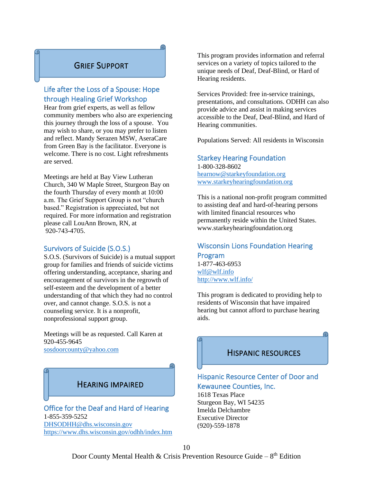### GRIEF SUPPORT

G

### Life after the Loss of a Spouse: Hope through Healing Grief Workshop

Hear from grief experts, as well as fellow community members who also are experiencing this journey through the loss of a spouse. You may wish to share, or you may prefer to listen and reflect. Mandy Serazen MSW, AseraCare from Green Bay is the facilitator. Everyone is welcome. There is no cost. Light refreshments are served.

Meetings are held at Bay View Lutheran Church, 340 W Maple Street, Sturgeon Bay on the fourth Thursday of every month at 10:00 a.m. The Grief Support Group is not "church based." Registration is appreciated, but not required. For more information and registration please call LouAnn Brown, RN, at 920-743-4705.

#### Survivors of Suicide (S.O.S.)

S.O.S. (Survivors of Suicide) is a mutual support group for families and friends of suicide victims offering understanding, acceptance, sharing and encouragement of survivors in the regrowth of self-esteem and the development of a better understanding of that which they had no control over, and cannot change. S.O.S. is not a counseling service. It is a nonprofit, nonprofessional support group.

Meetings will be as requested. Call Karen at 920-455-9645 [sosdoorcounty@yahoo.com](mailto:sosdoorcounty@yahoo.com)



Office for the Deaf and Hard of Hearing 1-855-359-5252 [DHSODHH@dhs.wisconsin.gov](mailto:DHSODHH@dhs.wisconsin.gov) <https://www.dhs.wisconsin.gov/odhh/index.htm> This program provides information and referral services on a variety of topics tailored to the unique needs of Deaf, Deaf-Blind, or Hard of Hearing residents.

Services Provided: free in-service trainings, presentations, and consultations. ODHH can also provide advice and assist in making services accessible to the Deaf, Deaf-Blind, and Hard of Hearing communities.

Populations Served: All residents in Wisconsin

#### Starkey Hearing Foundation

1-800-328-8602 [hearnow@starkeyfoundation.org](mailto:hearnow@starkeyfoundation.org) [www.starkeyhearingfoundation.org](http://www.starkeyhearingfoundation.org/)

This is a national non-profit program committed to assisting deaf and hard-of-hearing persons with limited financial resources who permanently reside within the United States. www.starkeyhearingfoundation.org

#### Wisconsin Lions Foundation Hearing Program 1-877-463-6953

[wlf@wlf.info](mailto:wlf@wlf.info) <http://www.wlf.info/>

This program is dedicated to providing help to residents of Wisconsin that have impaired hearing but cannot afford to purchase hearing aids.

### HISPANIC RESOURCES

### Hispanic Resource Center of Door and Kewaunee Counties, Inc.

1618 Texas Place Sturgeon Bay, WI 54235 Imelda Delchambre Executive Director (920)-559-1878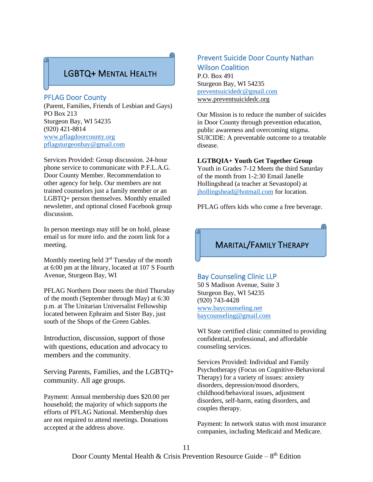### LGBTQ+ MENTAL HEALTH

#### PFLAG Door County

(Parent, Families, Friends of Lesbian and Gays) PO Box 213 Sturgeon Bay, WI 54235 (920) 421-8814 [www.pflagdoorcounty.org](http://www.pflagdoorcounty.org/) [pflagsturgeonbay@gmail.com](mailto:pflagsturgeonbay@gmail.com)

Services Provided: Group discussion. 24-hour phone service to communicate with P.F.L.A.G. Door County Member. Recommendation to other agency for help. Our members are not trained counselors just a family member or an LGBTQ+ person themselves. Monthly emailed newsletter, and optional closed Facebook group discussion.

In person meetings may still be on hold, please email us for more info. and the zoom link for a meeting.

Monthly meeting held 3<sup>rd</sup> Tuesday of the month at 6:00 pm at the library, located at 107 S Fourth Avenue, Sturgeon Bay, WI

PFLAG Northern Door meets the third Thursday of the month (September through May) at 6:30 p.m. at The Unitarian Universalist Fellowship located between Ephraim and Sister Bay, just south of the Shops of the Green Gables.

Introduction, discussion, support of those with questions, education and advocacy to members and the community.

Serving Parents, Families, and the LGBTQ+ community. All age groups.

Payment: Annual membership dues \$20.00 per household; the majority of which supports the efforts of PFLAG National. Membership dues are not required to attend meetings. Donations accepted at the address above.

#### Prevent Suicide Door County Nathan Wilson Coalition

P.O. Box 491 Sturgeon Bay, WI 54235 [preventsuicidedc@gmail.com](mailto:preventsuicidedc@gmail.com) www.preventsuicidedc.org

Our Mission is to reduce the number of suicides in Door County through prevention education, public awareness and overcoming stigma. SUICIDE: A preventable outcome to a treatable disease.

#### **LGTBQIA+ Youth Get Together Group**

Youth in Grades 7-12 Meets the third Saturday of the month from 1-2:30 Email Janelle Hollingshead (a teacher at Sevastopol) at [jhollingshead@hotmail.com](mailto:jhollingshead@hotmail.com) for location.

PFLAG offers kids who come a free beverage.

### MARITAL/FAMILY THERAPY

#### Bay Counseling Clinic LLP

50 S Madison Avenue, Suite 3 Sturgeon Bay, WI 54235 (920) 743-4428 [www.baycounseling.net](http://www.baycounseling.net/) [baycounseling@gmail.com](mailto:baycounseling@gmail.com)

WI State certified clinic committed to providing confidential, professional, and affordable counseling services.

Services Provided: Individual and Family Psychotherapy (Focus on Cognitive-Behavioral Therapy) for a variety of issues: anxiety disorders, depression/mood disorders, childhood/behavioral issues, adjustment disorders, self-harm, eating disorders, and couples therapy.

Payment: In network status with most insurance companies, including Medicaid and Medicare.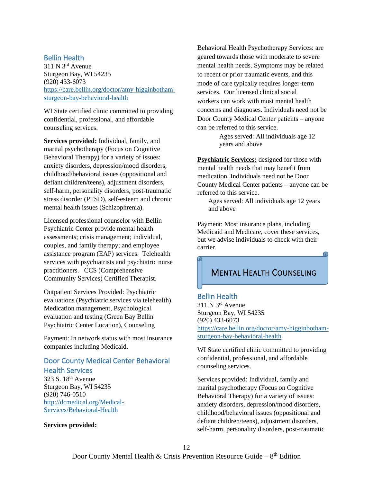#### Bellin Health

311 N 3rd Avenue Sturgeon Bay, WI 54235 (920) 433-6073 [https://care.bellin.org/doctor/amy-higginbotham](https://care.bellin.org/doctor/amy-higginbotham-sturgeon-bay-behavioral-health)[sturgeon-bay-behavioral-health](https://care.bellin.org/doctor/amy-higginbotham-sturgeon-bay-behavioral-health)

WI State certified clinic committed to providing confidential, professional, and affordable counseling services.

**Services provided:** Individual, family, and marital psychotherapy (Focus on Cognitive Behavioral Therapy) for a variety of issues: anxiety disorders, depression/mood disorders, childhood/behavioral issues (oppositional and defiant children/teens), adjustment disorders, self-harm, personality disorders, post-traumatic stress disorder (PTSD), self-esteem and chronic mental health issues (Schizophrenia).

Licensed professional counselor with Bellin Psychiatric Center provide mental health assessments; crisis management; individual, couples, and family therapy; and employee assistance program (EAP) services. Telehealth services with psychiatrists and psychiatric nurse practitioners. CCS (Comprehensive Community Services) Certified Therapist.

Outpatient Services Provided: Psychiatric evaluations (Psychiatric services via telehealth), Medication management, Psychological evaluation and testing (Green Bay Bellin Psychiatric Center Location), Counseling

Payment: In network status with most insurance companies including Medicaid.

#### Door County Medical Center Behavioral Health Services

323 S. 18th Avenue Sturgeon Bay, WI 54235 (920) 746-0510 [http://dcmedical.org/Medical-](http://dcmedical.org/Medical-Services/Behavioral-Health)[Services/Behavioral-Health](http://dcmedical.org/Medical-Services/Behavioral-Health)

**Services provided:** 

Behavioral Health Psychotherapy Services: are geared towards those with moderate to severe mental health needs. Symptoms may be related to recent or prior traumatic events, and this mode of care typically requires longer-term services. Our licensed clinical social workers can work with most mental health concerns and diagnoses. Individuals need not be Door County Medical Center patients – anyone can be referred to this service.

> Ages served: All individuals age 12 years and above

**Psychiatric Services:** designed for those with mental health needs that may benefit from medication. Individuals need not be Door County Medical Center patients – anyone can be referred to this service.

Ages served: All individuals age 12 years and above

Payment: Most insurance plans, including Medicaid and Medicare, cover these services, but we advise individuals to check with their carrier.

### MENTAL HEALTH COUNSELING

### Bellin Health

311 N 3rd Avenue Sturgeon Bay, WI 54235 (920) 433-6073 [https://care.bellin.org/doctor/amy-higginbotham](https://care.bellin.org/doctor/amy-higginbotham-sturgeon-bay-behavioral-health)[sturgeon-bay-behavioral-health](https://care.bellin.org/doctor/amy-higginbotham-sturgeon-bay-behavioral-health)

WI State certified clinic committed to providing confidential, professional, and affordable counseling services.

Services provided: Individual, family and marital psychotherapy (Focus on Cognitive Behavioral Therapy) for a variety of issues: anxiety disorders, depression/mood disorders, childhood/behavioral issues (oppositional and defiant children/teens), adjustment disorders, self-harm, personality disorders, post-traumatic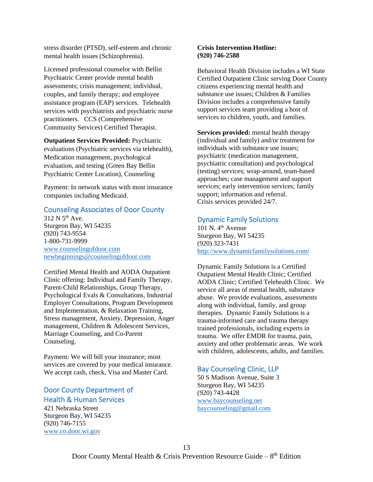stress disorder (PTSD), self-esteem and chronic mental health issues (Schizophrenia).

Licensed professional counselor with Bellin Psychiatric Center provide mental health assessments; crisis management; individual, couples, and family therapy; and employee assistance program (EAP) services. Telehealth services with psychiatrists and psychiatric nurse practitioners. CCS (Comprehensive Community Services) Certified Therapist.

**Outpatient Services Provided:** Psychiatric evaluations (Psychiatric services via telehealth), Medication management, psychological evaluation, and testing (Green Bay Bellin Psychiatric Center Location), Counseling

Payment: In network status with most insurance companies including Medicaid.

#### Counseling Associates of Door County

 $312$  N  $5<sup>th</sup>$  Ave. Sturgeon Bay, WI 54235 (920) 743-9554 1-800-731-9999 [www.counselingofdoor.com](http://www.counselingofdoor.com/) [newbeginnings@counselingofdoor.com](mailto:newbeginnings@counselingofdoor.com)

Certified Mental Health and AODA Outpatient Clinic offering: Individual and Family Therapy, Parent-Child Relationships, Group Therapy, Psychological Evals & Consultations, Industrial Employer Consultations, Program Development and Implementation, & Relaxation Training, Stress management, Anxiety, Depression, Anger management, Children & Adolescent Services, Marriage Counseling, and Co-Parent Counseling.

Payment: We will bill your insurance; most services are covered by your medical insurance. We accept cash, check, Visa and Master Card.

#### Door County Department of Health & Human Services

421 Nebraska Street Sturgeon Bay, WI 54235 (920) 746-7155 [www.co.door.wi.gov](http://www.co.door.wi.gov/)

#### **Crisis Intervention Hotline: (920) 746-2588**

Behavioral Health Division includes a WI State Certified Outpatient Clinic serving Door County citizens experiencing mental health and substance use issues; Children & Families Division includes a comprehensive family support services team providing a host of services to children, youth, and families.

**Services provided:** mental health therapy (individual and family) and/or treatment for individuals with substance use issues; psychiatric (medication management, psychiatric consultation) and psychological (testing) services; wrap-around, team-based approaches; case management and support services; early intervention services; family support; information and referral. Crisis services provided 24/7.

#### Dynamic Family Solutions

101 N. 4<sup>th</sup> Avenue Sturgeon Bay, WI 54235 (920) 323-7431 <http://www.dynamicfamilysolutions.com/>

Dynamic Family Solutions is a Certified Outpatient Mental Health Clinic; Certified AODA Clinic; Certified Telehealth Clinic. We service all areas of mental health, substance abuse. We provide evaluations, assessments along with individual, family, and group therapies. Dynamic Family Solutions is a trauma-informed care and trauma therapy trained professionals, including experts in trauma. We offer EMDR for trauma, pain, anxiety and other problematic areas. We work with children, adolescents, adults, and families.

#### Bay Counseling Clinic, LLP

50 S Madison Avenue, Suite 3 Sturgeon Bay, WI 54235 (920) 743-4428 [www.baycounseling.net](http://www.baycounseling.net/) [baycounseling@gmail.com](mailto:baycounseling@gmail.com)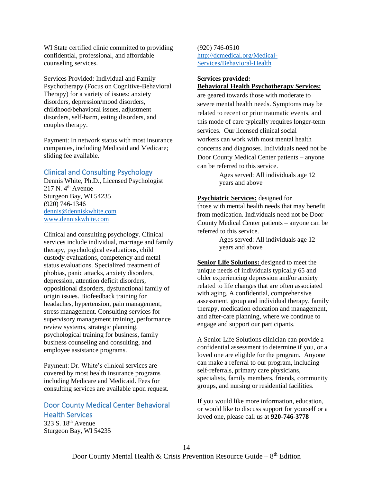WI State certified clinic committed to providing confidential, professional, and affordable counseling services.

Services Provided: Individual and Family Psychotherapy (Focus on Cognitive-Behavioral Therapy) for a variety of issues: anxiety disorders, depression/mood disorders, childhood/behavioral issues, adjustment disorders, self-harm, eating disorders, and couples therapy.

Payment: In network status with most insurance companies, including Medicaid and Medicare; sliding fee available.

#### Clinical and Consulting Psychology

Dennis White, Ph.D., Licensed Psychologist  $217$  N.  $4<sup>th</sup>$  Avenue Sturgeon Bay, WI 54235 (920) 746-1346 [dennis@denniskwhite.com](mailto:dennis@denniskwhite.com) [www.denniskwhite.com](http://www.denniskwhite.com/)

Clinical and consulting psychology. Clinical services include individual, marriage and family therapy, psychological evaluations, child custody evaluations, competency and metal status evaluations. Specialized treatment of phobias, panic attacks, anxiety disorders, depression, attention deficit disorders, oppositional disorders, dysfunctional family of origin issues. Biofeedback training for headaches, hypertension, pain management, stress management. Consulting services for supervisory management training, performance review systems, strategic planning, psychological training for business, family business counseling and consulting, and employee assistance programs.

Payment: Dr. White's clinical services are covered by most health insurance programs including Medicare and Medicaid. Fees for consulting services are available upon request.

### Door County Medical Center Behavioral Health Services

323 S. 18th Avenue Sturgeon Bay, WI 54235 (920) 746-0510 [http://dcmedical.org/Medical-](http://dcmedical.org/Medical-Services/Behavioral-Health)[Services/Behavioral-Health](http://dcmedical.org/Medical-Services/Behavioral-Health)

#### **Services provided: Behavioral Health Psychotherapy Services:**

are geared towards those with moderate to severe mental health needs. Symptoms may be related to recent or prior traumatic events, and this mode of care typically requires longer-term services. Our licensed clinical social workers can work with most mental health concerns and diagnoses. Individuals need not be Door County Medical Center patients – anyone can be referred to this service.

> Ages served: All individuals age 12 years and above

**Psychiatric Services:** designed for those with mental health needs that may benefit from medication. Individuals need not be Door County Medical Center patients – anyone can be referred to this service.

> Ages served: All individuals age 12 years and above

**Senior Life Solutions:** designed to meet the unique needs of individuals typically 65 and older experiencing depression and/or anxiety related to life changes that are often associated with aging. A confidential, comprehensive assessment, group and individual therapy, family therapy, medication education and management, and after-care planning, where we continue to engage and support our participants.

A Senior Life Solutions clinician can provide a confidential assessment to determine if you, or a loved one are eligible for the program. Anyone can make a referral to our program, including self-referrals, primary care physicians, specialists, family members, friends, community groups, and nursing or residential facilities.

If you would like more information, education, or would like to discuss support for yourself or a loved one, please call us at **920-746-3778**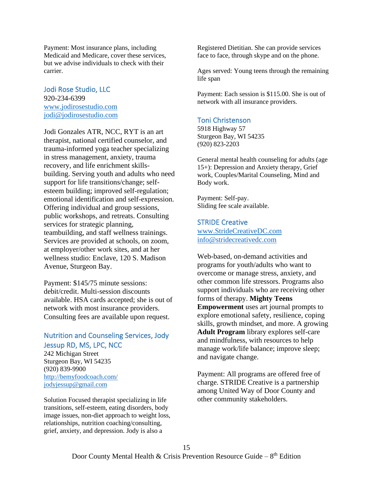Payment: Most insurance plans, including Medicaid and Medicare, cover these services, but we advise individuals to check with their carrier.

#### Jodi Rose Studio, LLC 920-234-6399

[www.jodirosestudio.com](http://www.jodirosestudio.com/) [jodi@jodirosestudio.com](mailto:jodi@jodirosestudio.com)

Jodi Gonzales ATR, NCC, RYT is an art therapist, national certified counselor, and trauma-informed yoga teacher specializing in stress management, anxiety, trauma recovery, and life enrichment skillsbuilding. Serving youth and adults who need support for life transitions/change; selfesteem building; improved self-regulation; emotional identification and self-expression. Offering individual and group sessions, public workshops, and retreats. Consulting services for strategic planning, teambuilding, and staff wellness trainings. Services are provided at schools, on zoom, at employer/other work sites, and at her wellness studio: Enclave, 120 S. Madison Avenue, Sturgeon Bay.

Payment: \$145/75 minute sessions: debit/credit. Multi-session discounts available. HSA cards accepted; she is out of network with most insurance providers. Consulting fees are available upon request.

### Nutrition and Counseling Services, Jody Jessup RD, MS, LPC, NCC

242 Michigan Street Sturgeon Bay, WI 54235 (920) 839-9900 <http://bemyfoodcoach.com/> [jodyjessup@gmail.com](mailto:jodyjessup@gmail.com)

Solution Focused therapist specializing in life transitions, self-esteem, eating disorders, body image issues, non-diet approach to weight loss, relationships, nutrition coaching/consulting, grief, anxiety, and depression. Jody is also a

Registered Dietitian. She can provide services face to face, through skype and on the phone.

Ages served: Young teens through the remaining life span

Payment: Each session is \$115.00. She is out of network with all insurance providers.

#### Toni Christenson

5918 Highway 57 Sturgeon Bay, WI 54235 (920) 823-2203

General mental health counseling for adults (age 15+): Depression and Anxiety therapy, Grief work, Couples/Marital Counseling, Mind and Body work.

Payment: Self-pay. Sliding fee scale available.

#### STRIDE Creative

[www.StrideCreativeDC.com](http://www.stridecreativedc.com/) [info@stridecreativedc.com](mailto:info@stridecreativedc.com)

Web-based, on-demand activities and programs for youth/adults who want to overcome or manage stress, anxiety, and other common life stressors. Programs also support individuals who are receiving other forms of therapy. **Mighty Teens Empowerment** uses art journal prompts to explore emotional safety, resilience, coping skills, growth mindset, and more. A growing **Adult Program** library explores self-care and mindfulness, with resources to help manage work/life balance; improve sleep; and navigate change.

Payment: All programs are offered free of charge. STRIDE Creative is a partnership among United Way of Door County and other community stakeholders.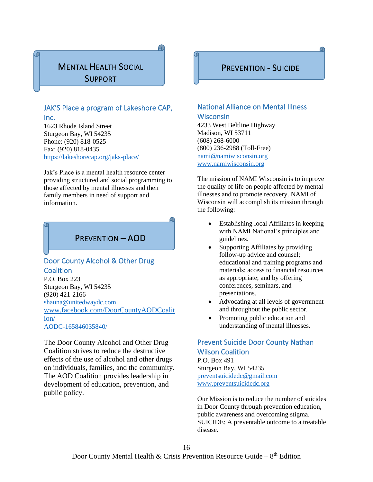### MENTAL HEALTH SOCIAL SUPPORT

### JAK'S Place a program of Lakeshore CAP,

Inc.

1623 Rhode Island Street Sturgeon Bay, WI 54235 Phone: (920) 818-0525 Fax: (920) 818-0435 <https://lakeshorecap.org/jaks-place/>

Jak's Place is a mental health resource center providing structured and social programming to those affected by mental illnesses and their family members in need of support and information.

## PREVENTION – AOD

### Door County Alcohol & Other Drug **Coalition**

P.O. Box 223 Sturgeon Bay, WI 54235 (920) 421-2166 [shauna@unitedwaydc.com](mailto:shauna@unitedwaydc.com) [www.facebook.com/DoorCountyAODCoalit](http://www.facebook.com/DoorCountyAODCoalition/) [ion/](http://www.facebook.com/DoorCountyAODCoalition/) [AODC-165846035840/](https://www.facebook.com/Door-County-AODC-165846035840/)

The Door County Alcohol and Other Drug Coalition strives to reduce the destructive effects of the use of alcohol and other drugs on individuals, families, and the community. The AOD Coalition provides leadership in development of education, prevention, and public policy.

### PREVENTION - SUICIDE

### National Alliance on Mental Illness **Wisconsin**

4233 West Beltline Highway Madison, WI 53711 (608) 268-6000 (800) 236-2988 (Toll-Free) [nami@namiwisconsin.org](mailto:nami@namiwisconsin.org) [www.namiwisconsin.org](http://www.namiwisconsin.org/)

The mission of NAMI Wisconsin is to improve the quality of life on people affected by mental illnesses and to promote recovery. NAMI of Wisconsin will accomplish its mission through the following:

- Establishing local Affiliates in keeping with NAMI National's principles and guidelines.
- Supporting Affiliates by providing follow-up advice and counsel; educational and training programs and materials; access to financial resources as appropriate; and by offering conferences, seminars, and presentations.
- Advocating at all levels of government and throughout the public sector.
- Promoting public education and understanding of mental illnesses.

### Prevent Suicide Door County Nathan Wilson Coalition

P.O. Box 491 Sturgeon Bay, WI 54235 [preventsuicidedc@gmail.com](mailto:preventsuicidedc@gmail.com) www.preventsuicidedc.org

Our Mission is to reduce the number of suicides in Door County through prevention education, public awareness and overcoming stigma. SUICIDE: A preventable outcome to a treatable disease.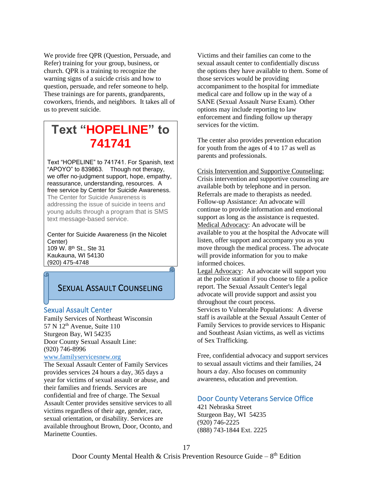We provide free QPR (Question, Persuade, and Refer) training for your group, business, or church. QPR is a training to recognize the warning signs of a suicide crisis and how to question, persuade, and refer someone to help. These trainings are for parents, grandparents, coworkers, friends, and neighbors. It takes all of us to prevent suicide.

## **Text "HOPELINE" to 741741**

Text "HOPELINE" to 741741. For Spanish, text "APOYO" to 839863. Though not therapy, we offer no-judgment support, hope, empathy, reassurance, understanding, resources. A free service by Center for Suicide Awareness. The Center for Suicide Awareness is addressing the issue of suicide in teens and young adults through a program that is SMS text message-based service.

Center for Suicide Awareness (in the Nicolet Center) 109 W. 8th St., Ste 31 Kaukauna, WI 54130 (920) 475-4748  $\Omega$ 

### SEXUAL ASSAULT COUNSELING

#### Sexual Assault Center

Family Services of Northeast Wisconsin  $57$  N  $12<sup>th</sup>$  Avenue, Suite 110 Sturgeon Bay, WI 54235 Door County Sexual Assault Line: (920) 746-8996

#### [www.familyservicesnew.org](http://www.familyservicesnew.org/)

The Sexual Assault Center of Family Services provides services 24 hours a day, 365 days a year for victims of sexual assault or abuse, and their families and friends. Services are confidential and free of charge. The Sexual Assault Center provides sensitive services to all victims regardless of their age, gender, race, sexual orientation, or disability. Services are available throughout Brown, Door, Oconto, and Marinette Counties.

Victims and their families can come to the sexual assault center to confidentially discuss the options they have available to them. Some of those services would be providing accompaniment to the hospital for immediate medical care and follow up in the way of a SANE (Sexual Assault Nurse Exam). Other options may include reporting to law enforcement and finding follow up therapy services for the victim.

The center also provides prevention education for youth from the ages of 4 to 17 as well as parents and professionals.

Crisis Intervention and Supportive Counseling: Crisis intervention and supportive counseling are available both by telephone and in person. Referrals are made to therapists as needed. Follow-up Assistance: An advocate will continue to provide information and emotional support as long as the assistance is requested. Medical Advocacy: An advocate will be available to you at the hospital the Advocate will listen, offer support and accompany you as you move through the medical process. The advocate will provide information for you to make informed choices.

Legal Advocacy: An advocate will support you at the police station if you choose to file a police report. The Sexual Assault Center's legal advocate will provide support and assist you throughout the court process.

Services to Vulnerable Populations: A diverse staff is available at the Sexual Assault Center of Family Services to provide services to Hispanic and Southeast Asian victims, as well as victims of Sex Trafficking.

Free, confidential advocacy and support services to sexual assault victims and their families, 24 hours a day. Also focuses on community awareness, education and prevention.

#### Door County Veterans Service Office

421 Nebraska Street Sturgeon Bay, WI 54235 (920) 746-2225 (888) 743-1844 Ext. 2225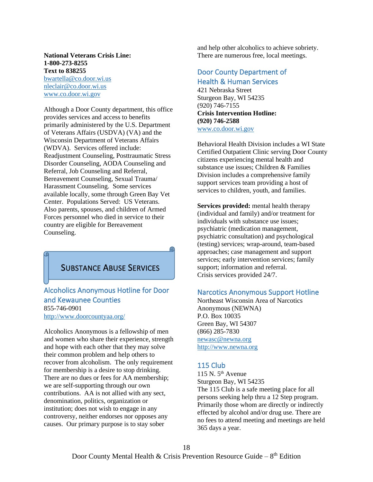#### **National Veterans Crisis Line: 1-800-273-8255 Text to 838255** [bwartella@co.door.wi.us](mailto:bwartella@co.door.wi.us)

nleclair@co.door.wi.us [www.co.door.wi.gov](http://www.co.door.wi.gov/)

Although a Door County department, this office provides services and access to benefits primarily administered by the U.S. Department of Veterans Affairs (USDVA) (VA) and the Wisconsin Department of Veterans Affairs (WDVA). Services offered include: Readjustment Counseling, Posttraumatic Stress Disorder Counseling, AODA Counseling and Referral, Job Counseling and Referral, Bereavement Counseling, Sexual Trauma/ Harassment Counseling. Some services available locally, some through Green Bay Vet Center. Populations Served: US Veterans. Also parents, spouses, and children of Armed Forces personnel who died in service to their country are eligible for Bereavement Counseling.

### SUBSTANCE ABUSE SERVICES

### Alcoholics Anonymous Hotline for Door and Kewaunee Counties 855-746-0901

<http://www.doorcountyaa.org/>

Alcoholics Anonymous is a fellowship of men and women who share their experience, strength and hope with each other that they may solve their common problem and help others to recover from alcoholism. The only requirement for membership is a desire to stop drinking. There are no dues or fees for AA membership; we are self-supporting through our own contributions. AA is not allied with any sect, denomination, politics, organization or institution; does not wish to engage in any controversy, neither endorses nor opposes any causes. Our primary purpose is to stay sober

and help other alcoholics to achieve sobriety. There are numerous free, local meetings.

### Door County Department of Health & Human Services

421 Nebraska Street Sturgeon Bay, WI 54235 (920) 746-7155 **Crisis Intervention Hotline: (920) 746-2588** [www.co.door.wi.gov](http://www.co.door.wi.gov/)

Behavioral Health Division includes a WI State Certified Outpatient Clinic serving Door County citizens experiencing mental health and substance use issues; Children & Families Division includes a comprehensive family support services team providing a host of services to children, youth, and families.

**Services provided:** mental health therapy (individual and family) and/or treatment for individuals with substance use issues; psychiatric (medication management, psychiatric consultation) and psychological (testing) services; wrap-around, team-based approaches; case management and support services; early intervention services; family support; information and referral. Crisis services provided 24/7.

#### Narcotics Anonymous Support Hotline

Northeast Wisconsin Area of Narcotics Anonymous (NEWNA) P.O. Box 10035 Green Bay, WI 54307 (866) 285-7830 [newasc@newna.org](mailto:newasc@newna.org) [http://www.newna.org](http://www.newna.org/)

#### 115 Club

115 N.  $5<sup>th</sup>$  Avenue Sturgeon Bay, WI 54235 The 115 Club is a safe meeting place for all persons seeking help thru a 12 Step program. Primarily those whom are directly or indirectly effected by alcohol and/or drug use. There are no fees to attend meeting and meetings are held 365 days a year.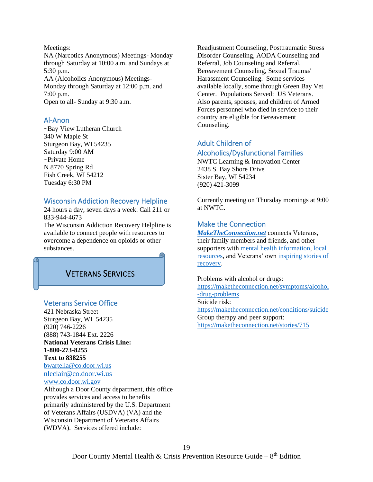Meetings: NA (Narcotics Anonymous) Meetings- Monday through Saturday at 10:00 a.m. and Sundays at 5:30 p.m. AA (Alcoholics Anonymous) Meetings-Monday through Saturday at 12:00 p.m. and 7:00 p.m. Open to all- Sunday at 9:30 a.m.

#### Al-Anon

~Bay View Lutheran Church 340 W Maple St Sturgeon Bay, WI 54235 Saturday 9:00 AM ~Private Home N 8770 Spring Rd Fish Creek, WI 54212 Tuesday 6:30 PM

#### Wisconsin Addiction Recovery Helpline

24 hours a day, seven days a week. Call 211 or 833-944-4673

The Wisconsin Addiction Recovery Helpline is available to connect people with resources to overcome a dependence on opioids or other substances.

### VETERANS SERVICES

#### Veterans Service Office

421 Nebraska Street Sturgeon Bay, WI 54235 (920) 746-2226 (888) 743-1844 Ext. 2226 **National Veterans Crisis Line: 1-800-273-8255 Text to 838255** [bwartella@co.door.wi.us](mailto:bwartella@co.door.wi.us) nleclair@co.door.wi.us [www.co.door.wi.gov](http://www.co.door.wi.gov/) Although a Door County department, this office provides services and access to benefits primarily administered by the U.S. Department

of Veterans Affairs (USDVA) (VA) and the Wisconsin Department of Veterans Affairs (WDVA). Services offered include:

Readjustment Counseling, Posttraumatic Stress Disorder Counseling, AODA Counseling and Referral, Job Counseling and Referral, Bereavement Counseling, Sexual Trauma/ Harassment Counseling. Some services available locally, some through Green Bay Vet Center. Populations Served: US Veterans. Also parents, spouses, and children of Armed Forces personnel who died in service to their country are eligible for Bereavement Counseling.

## Adult Children of

#### Alcoholics/Dysfunctional Families

NWTC Learning & Innovation Center 2438 S. Bay Shore Drive Sister Bay, WI 54234 (920) 421-3099

Currently meeting on Thursday mornings at 9:00 at NWTC.

#### Make the Connection

*[MakeTheConnection.net](http://maketheconnection.net/)* connects Veterans, their family members and friends, and other supporters with [mental health information,](https://maketheconnection.net/resources/treatment-recovery) [local](https://maketheconnection.net/resources)  [resources,](https://maketheconnection.net/resources) and Veterans' own [inspiring stories of](https://maketheconnection.net/stories/98)  [recovery.](https://maketheconnection.net/stories/98)

Problems with alcohol or drugs: [https://maketheconnection.net/symptoms/alcohol](https://maketheconnection.net/symptoms/alcohol-drug-problems) [-drug-problems](https://maketheconnection.net/symptoms/alcohol-drug-problems) Suicide risk: <https://maketheconnection.net/conditions/suicide> Group therapy and peer support: <https://maketheconnection.net/stories/715>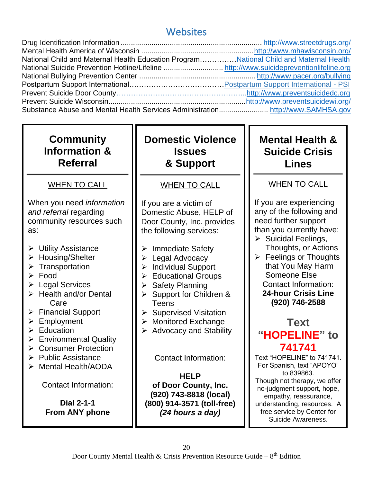## **Websites**

| National Child and Maternal Health Education Program National Child and Maternal Health |  |
|-----------------------------------------------------------------------------------------|--|
|                                                                                         |  |
|                                                                                         |  |
|                                                                                         |  |
|                                                                                         |  |
|                                                                                         |  |
|                                                                                         |  |

## **Community Information & Referral**

### WHEN TO CALL

When you need *information and referral* regarding community resources such as:

- ➢ Utility Assistance
- ➢ Housing/Shelter
- ➢ Transportation
- ➢ Food

Ī

- ➢ Legal Services
- ➢ Health and/or Dental Care
- ➢ Financial Support
- ➢ Employment
- ➢ Education
- ➢ Environmental Quality
- ➢ Consumer Protection
- ➢ Public Assistance
- ➢ Mental Health/AODA

Contact Information:

**Dial 2-1-1 From ANY phone** **Domestic Violence Issues & Support**

## WHEN TO CALL

If you are a victim of Domestic Abuse, HELP of Door County, Inc. provides the following services:

- ➢ Immediate Safety
- ➢ Legal Advocacy
- ➢ Individual Support
- ➢ Educational Groups
- ➢ Safety Planning
- ➢ Support for Children & Teens
- ➢ Supervised Visitation
- ➢ Monitored Exchange
- $\triangleright$  Advocacy and Stability

Contact Information:

**HELP of Door County, Inc. (920) 743-8818 (local) (800) 914-3571 (toll-free)** *(24 hours a day)*

## **Mental Health & Suicide Crisis Lines**

## WHEN TO CALL

If you are experiencing any of the following and need further support than you currently have:

- ➢ Suicidal Feelings, Thoughts, or Actions
- $\triangleright$  Feelings or Thoughts that You May Harm Someone Else Contact Information: **24-hour Crisis Line (920) 746-2588**

## **Text "HOPELINE" to 741741**

Text "HOPELINE" to 741741. For Spanish, text "APOYO" to 839863. Though not therapy, we offer no-judgment support, hope, empathy, reassurance, understanding, resources. A free service by Center for Suicide Awareness.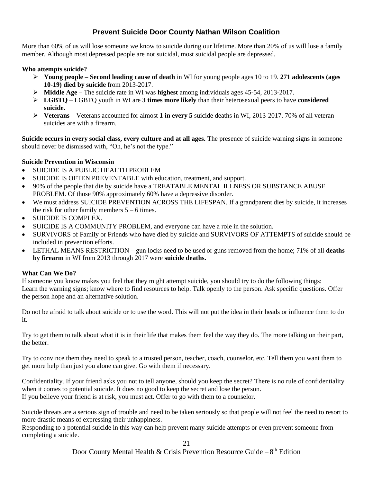### **Prevent Suicide Door County Nathan Wilson Coalition**

More than 60% of us will lose someone we know to suicide during our lifetime. More than 20% of us will lose a family member. Although most depressed people are not suicidal, most suicidal people are depressed.

#### **Who attempts suicide?**

- ➢ **Young people – Second leading cause of death** in WI for young people ages 10 to 19. **271 adolescents (ages 10-19) died by suicide** from 2013-2017.
- ➢ **Middle Age** The suicide rate in WI was **highest** among individuals ages 45-54, 2013-2017.
- ➢ **LGBTQ** LGBTQ youth in WI are **3 times more likely** than their heterosexual peers to have **considered suicide.**
- ➢ **Veterans –** Veterans accounted for almost **1 in every 5** suicide deaths in WI, 2013-2017. 70% of all veteran suicides are with a firearm.

**Suicide occurs in every social class, every culture and at all ages.** The presence of suicide warning signs in someone should never be dismissed with, "Oh, he's not the type."

#### **Suicide Prevention in Wisconsin**

- SUICIDE IS A PUBLIC HEALTH PROBLEM
- SUICIDE IS OFTEN PREVENTABLE with education, treatment, and support.
- 90% of the people that die by suicide have a TREATABLE MENTAL ILLNESS OR SUBSTANCE ABUSE PROBLEM. Of those 90% approximately 60% have a depressive disorder.
- We must address SUICIDE PREVENTION ACROSS THE LIFESPAN. If a grandparent dies by suicide, it increases the risk for other family members  $5 - 6$  times.
- SUICIDE IS COMPLEX.
- SUICIDE IS A COMMUNITY PROBLEM, and everyone can have a role in the solution.
- SURVIVORS of Family or Friends who have died by suicide and SURVIVORS OF ATTEMPTS of suicide should be included in prevention efforts.
- LETHAL MEANS RESTRICTION gun locks need to be used or guns removed from the home; 71% of all **deaths by firearm** in WI from 2013 through 2017 were **suicide deaths.**

#### **What Can We Do?**

If someone you know makes you feel that they might attempt suicide, you should try to do the following things: Learn the warning signs; know where to find resources to help. Talk openly to the person. Ask specific questions. Offer the person hope and an alternative solution.

Do not be afraid to talk about suicide or to use the word. This will not put the idea in their heads or influence them to do it.

Try to get them to talk about what it is in their life that makes them feel the way they do. The more talking on their part, the better.

Try to convince them they need to speak to a trusted person, teacher, coach, counselor, etc. Tell them you want them to get more help than just you alone can give. Go with them if necessary.

Confidentiality. If your friend asks you not to tell anyone, should you keep the secret? There is no rule of confidentiality when it comes to potential suicide. It does no good to keep the secret and lose the person. If you believe your friend is at risk, you must act. Offer to go with them to a counselor.

Suicide threats are a serious sign of trouble and need to be taken seriously so that people will not feel the need to resort to more drastic means of expressing their unhappiness.

Responding to a potential suicide in this way can help prevent many suicide attempts or even prevent someone from completing a suicide.

21

Door County Mental Health & Crisis Prevention Resource Guide  $-8^{th}$  Edition